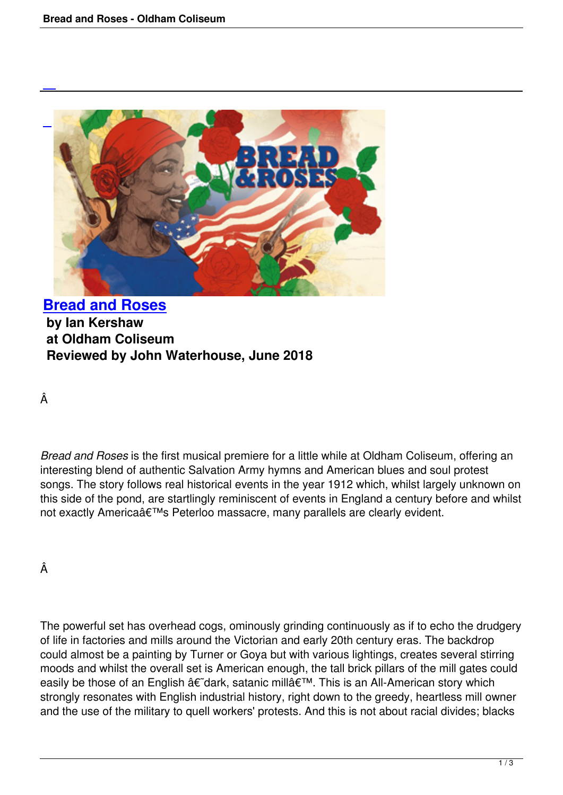

# **Bread and Roses by Ian Kershaw at Oldham Coliseum [Reviewed by John W](bread-and-roses.html)aterhouse, June 2018**

Â

*Bread and Roses* is the first musical premiere for a little while at Oldham Coliseum, offering an interesting blend of authentic Salvation Army hymns and American blues and soul protest songs. The story follows real historical events in the year 1912 which, whilst largely unknown on this side of the pond, are startlingly reminiscent of events in England a century before and whilst not exactly America's Peterloo massacre, many parallels are clearly evident.

Â

The powerful set has overhead cogs, ominously grinding continuously as if to echo the drudgery of life in factories and mills around the Victorian and early 20th century eras. The backdrop could almost be a painting by Turner or Goya but with various lightings, creates several stirring moods and whilst the overall set is American enough, the tall brick pillars of the mill gates could easily be those of an English â€~dark, satanic millâ€<sup>™</sup>. This is an All-American story which strongly resonates with English industrial history, right down to the greedy, heartless mill owner and the use of the military to quell workers' protests. And this is not about racial divides; blacks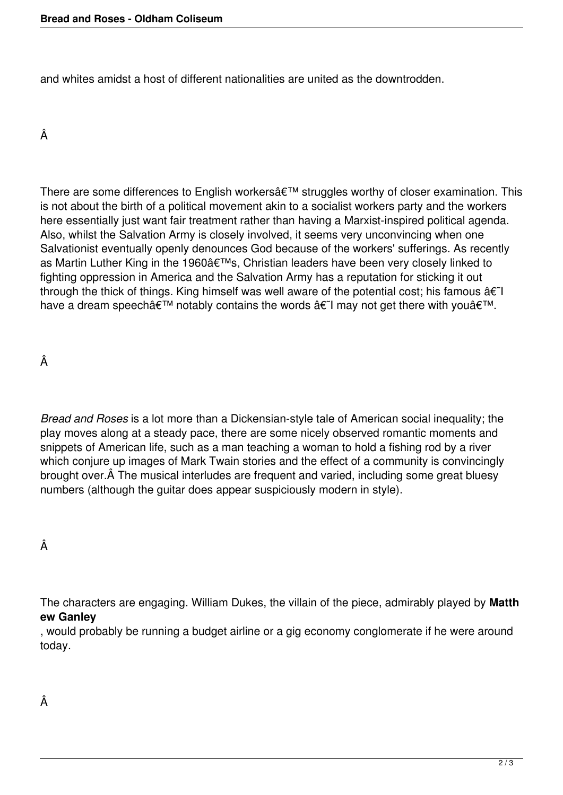and whites amidst a host of different nationalities are united as the downtrodden.

## Â

There are some differences to English workers' struggles worthy of closer examination. This is not about the birth of a political movement akin to a socialist workers party and the workers here essentially just want fair treatment rather than having a Marxist-inspired political agenda. Also, whilst the Salvation Army is closely involved, it seems very unconvincing when one Salvationist eventually openly denounces God because of the workers' sufferings. As recently as Martin Luther King in the 1960's, Christian leaders have been very closely linked to fighting oppression in America and the Salvation Army has a reputation for sticking it out through the thick of things. King himself was well aware of the potential cost; his famous  $\hat{a}\in I$ have a dream speech $\hat{\mathbf{a}} \in \mathbb{M}$  notably contains the words  $\hat{\mathbf{a}} \in \mathbb{M}$  may not get there with you $\hat{\mathbf{a}} \in \mathbb{M}$ .

Â

*Bread and Roses* is a lot more than a Dickensian-style tale of American social inequality; the play moves along at a steady pace, there are some nicely observed romantic moments and snippets of American life, such as a man teaching a woman to hold a fishing rod by a river which conjure up images of Mark Twain stories and the effect of a community is convincingly brought over. A The musical interludes are frequent and varied, including some great bluesy numbers (although the guitar does appear suspiciously modern in style).

Â

The characters are engaging. William Dukes, the villain of the piece, admirably played by **Matth ew Ganley**

, would probably be running a budget airline or a gig economy conglomerate if he were around today.